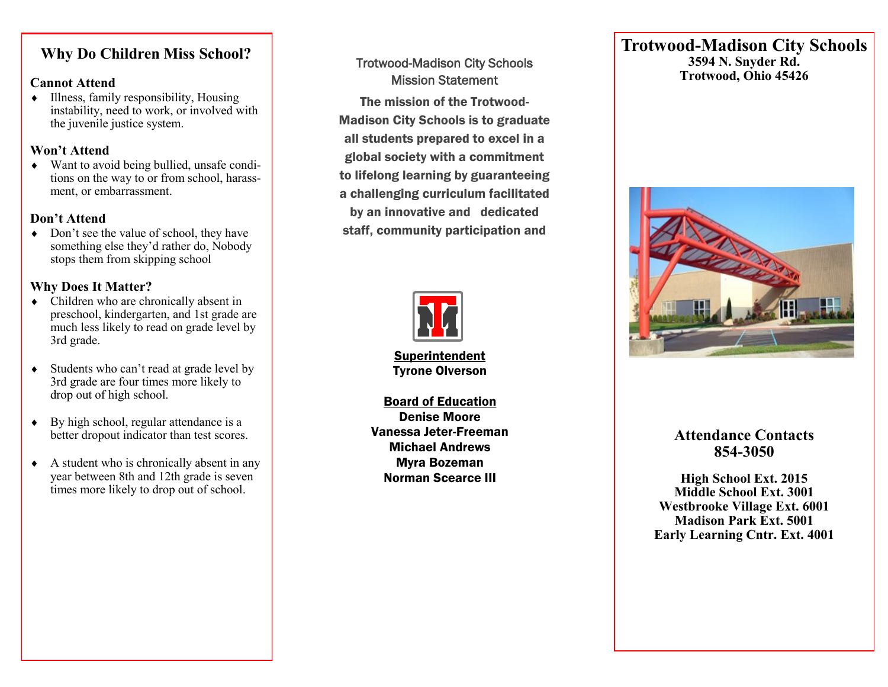## **Why Do Children Miss School?**  $\mathbf{v}$

#### **Cannot Attend**

Cannot Attend<br>♦ Illness, family responsibility, Housing instability, need to work, or involved with The Early Learning Center. The basic academic subthe juvenile justice system.

#### **Won't Attend**

• Want to avoid being bullied, unsafe conditions on the way to or from school, harassment, or embarrassment.

### **Don't Attend**

 $\leftrightarrow$  Don't see the value of school, they have something else they'd rather do, Nobody stops them from skipping school

## **Why Does It Matter?**

- $\leftrightarrow$  Children who are chronically absent in preschool, kindergarten, and 1st grade are 3rd grade. much less likely to read on grade level by
- ◆ Students who can't read at grade level by 3rd grade are four times more likely to drop out of high school.
- better dropout indicator than test scores.  $\leftrightarrow$  By high school, regular attendance is a
- $\triangle$  A student who is chronically absent in any year between 8th and 12th grade is seven times more likely to drop out of school.

## Trotwood-Madison City Schools Mission Statement

The mission of the Trotwood-Madison City Schools is to graduate all students prepared to excel in a global society with a commitment to lifelong learning by guaranteeing a challenging curriculum facilitated by an innovative and dedicated staff, community participation and



Superintendent Tyrone Olverson

Board of Education Denise Moore Vanessa Jeter-Freeman Michael Andrews Myra Bozeman Norman Scearce III

## **Trotwood-Madison City Schools 3594 N. Snyder Rd. Trotwood, Ohio 45426**



## **Attendance Contacts 854-3050**

 **Madison Park Ext. 5001 High School Ext. 2015 Middle School Ext. 3001 Westbrooke Village Ext. 6001 Early Learning Cntr. Ext. 4001**